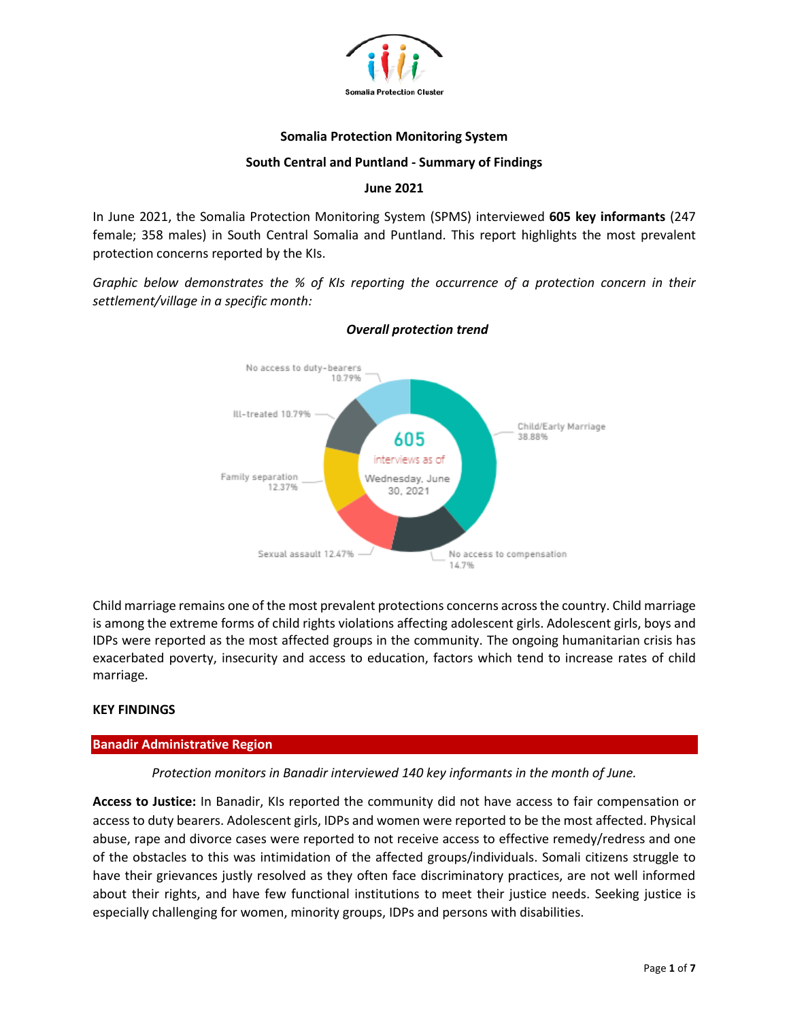

### **Somalia Protection Monitoring System**

## **South Central and Puntland - Summary of Findings**

## **June 2021**

In June 2021, the Somalia Protection Monitoring System (SPMS) interviewed **605 key informants** (247 female; 358 males) in South Central Somalia and Puntland. This report highlights the most prevalent protection concerns reported by the KIs.

*Graphic below demonstrates the % of KIs reporting the occurrence of a protection concern in their settlement/village in a specific month:*



# *Overall protection trend*

Child marriage remains one of the most prevalent protections concerns across the country. Child marriage is among the extreme forms of child rights violations affecting adolescent girls. Adolescent girls, boys and IDPs were reported as the most affected groups in the community. The ongoing humanitarian crisis has exacerbated poverty, insecurity and access to education, factors which tend to increase rates of child marriage.

# **KEY FINDINGS**

### **Banadir Administrative Region**

# *Protection monitors in Banadir interviewed 140 key informants in the month of June.*

**Access to Justice:** In Banadir, KIs reported the community did not have access to fair compensation or access to duty bearers. Adolescent girls, IDPs and women were reported to be the most affected. Physical abuse, rape and divorce cases were reported to not receive access to effective remedy/redress and one of the obstacles to this was intimidation of the affected groups/individuals. Somali citizens struggle to have their grievances justly resolved as they often face discriminatory practices, are not well informed about their rights, and have few functional institutions to meet their justice needs. Seeking justice is especially challenging for women, minority groups, IDPs and persons with disabilities.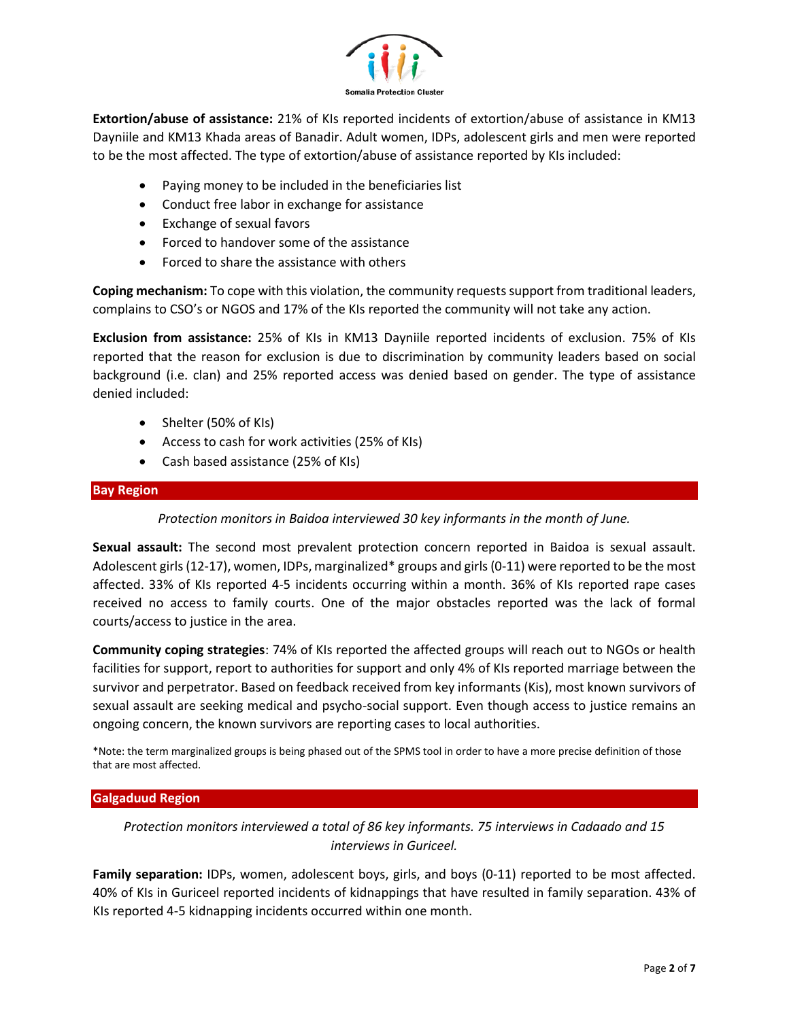

**Extortion/abuse of assistance:** 21% of KIs reported incidents of extortion/abuse of assistance in KM13 Dayniile and KM13 Khada areas of Banadir. Adult women, IDPs, adolescent girls and men were reported to be the most affected. The type of extortion/abuse of assistance reported by KIs included:

- Paying money to be included in the beneficiaries list
- Conduct free labor in exchange for assistance
- Exchange of sexual favors
- Forced to handover some of the assistance
- Forced to share the assistance with others

**Coping mechanism:** To cope with this violation, the community requestssupport from traditional leaders, complains to CSO's or NGOS and 17% of the KIs reported the community will not take any action.

**Exclusion from assistance:** 25% of KIs in KM13 Dayniile reported incidents of exclusion. 75% of KIs reported that the reason for exclusion is due to discrimination by community leaders based on social background (i.e. clan) and 25% reported access was denied based on gender. The type of assistance denied included:

- Shelter (50% of KIs)
- Access to cash for work activities (25% of KIs)
- Cash based assistance (25% of KIs)

### **Bay Region**

*Protection monitors in Baidoa interviewed 30 key informants in the month of June.*

**Sexual assault:** The second most prevalent protection concern reported in Baidoa is sexual assault. Adolescent girls (12-17), women, IDPs, marginalized\* groups and girls (0-11) were reported to be the most affected. 33% of KIs reported 4-5 incidents occurring within a month. 36% of KIs reported rape cases received no access to family courts. One of the major obstacles reported was the lack of formal courts/access to justice in the area.

**Community coping strategies**: 74% of KIs reported the affected groups will reach out to NGOs or health facilities for support, report to authorities for support and only 4% of KIs reported marriage between the survivor and perpetrator. Based on feedback received from key informants (Kis), most known survivors of sexual assault are seeking medical and psycho-social support. Even though access to justice remains an ongoing concern, the known survivors are reporting cases to local authorities.

\*Note: the term marginalized groups is being phased out of the SPMS tool in order to have a more precise definition of those that are most affected.

# **Galgaduud Region**

*Protection monitors interviewed a total of 86 key informants. 75 interviews in Cadaado and 15 interviews in Guriceel.* 

**Family separation:** IDPs, women, adolescent boys, girls, and boys (0-11) reported to be most affected. 40% of KIs in Guriceel reported incidents of kidnappings that have resulted in family separation. 43% of KIs reported 4-5 kidnapping incidents occurred within one month.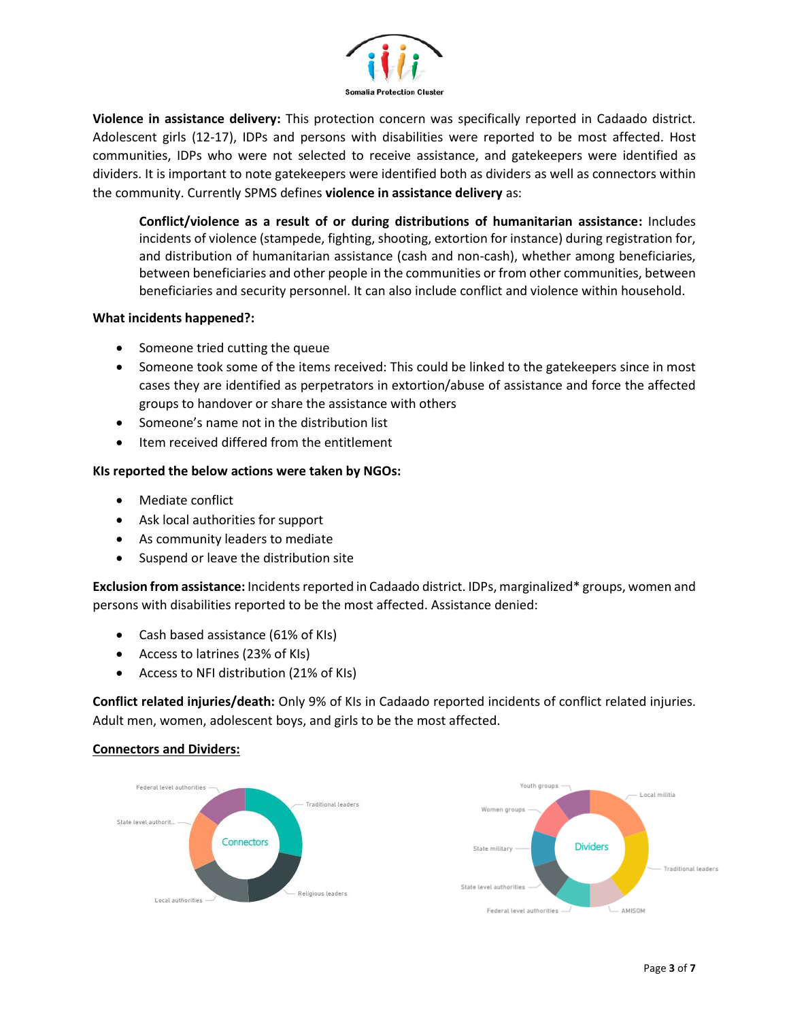

**Violence in assistance delivery:** This protection concern was specifically reported in Cadaado district. Adolescent girls (12-17), IDPs and persons with disabilities were reported to be most affected. Host communities, IDPs who were not selected to receive assistance, and gatekeepers were identified as dividers. It is important to note gatekeepers were identified both as dividers as well as connectors within the community. Currently SPMS defines **violence in assistance delivery** as:

**Conflict/violence as a result of or during distributions of humanitarian assistance:** Includes incidents of violence (stampede, fighting, shooting, extortion for instance) during registration for, and distribution of humanitarian assistance (cash and non-cash), whether among beneficiaries, between beneficiaries and other people in the communities or from other communities, between beneficiaries and security personnel. It can also include conflict and violence within household.

## **What incidents happened?:**

- Someone tried cutting the queue
- Someone took some of the items received: This could be linked to the gatekeepers since in most cases they are identified as perpetrators in extortion/abuse of assistance and force the affected groups to handover or share the assistance with others
- Someone's name not in the distribution list
- Item received differed from the entitlement

## **KIs reported the below actions were taken by NGOs:**

- Mediate conflict
- Ask local authorities for support
- As community leaders to mediate
- Suspend or leave the distribution site

**Exclusion from assistance:** Incidents reported in Cadaado district. IDPs, marginalized\* groups, women and persons with disabilities reported to be the most affected. Assistance denied:

- Cash based assistance (61% of KIs)
- Access to latrines (23% of KIs)
- Access to NFI distribution (21% of KIs)

**Conflict related injuries/death:** Only 9% of KIs in Cadaado reported incidents of conflict related injuries. Adult men, women, adolescent boys, and girls to be the most affected.

# **Connectors and Dividers:**

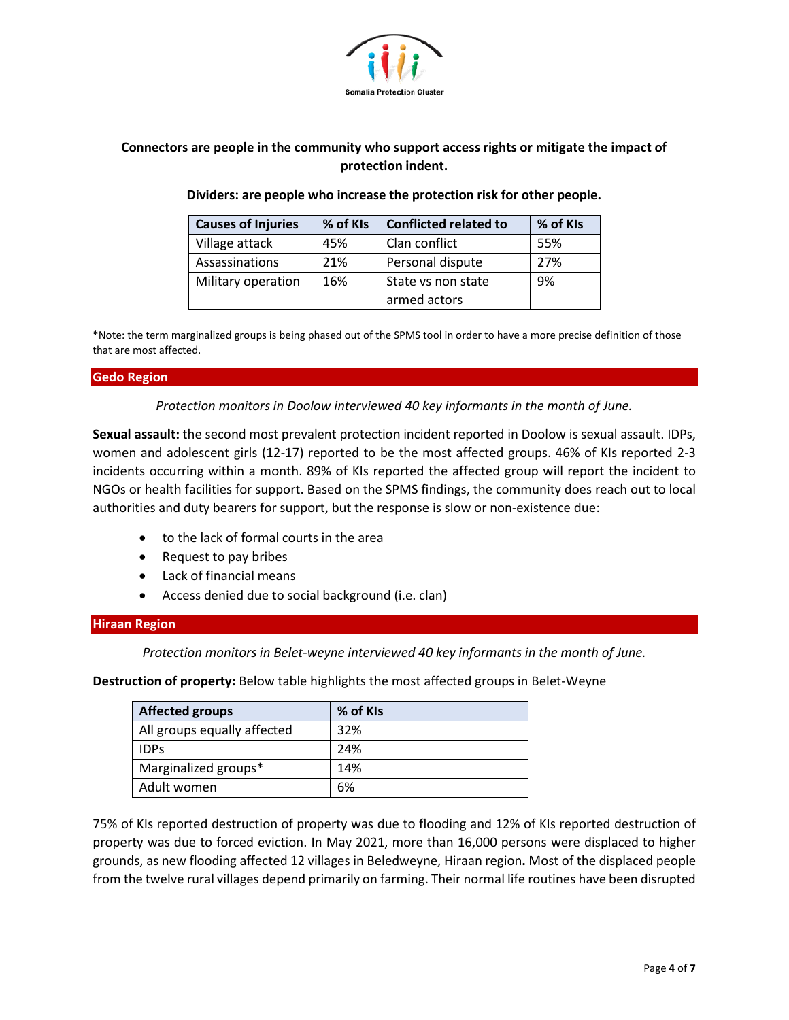

# **Connectors are people in the community who support access rights or mitigate the impact of protection indent.**

## **Dividers: are people who increase the protection risk for other people.**

| <b>Causes of Injuries</b> | % of KIs | <b>Conflicted related to</b> | % of KIs |
|---------------------------|----------|------------------------------|----------|
| Village attack            | 45%      | Clan conflict                | 55%      |
| Assassinations            | 21%      | Personal dispute             | 27%      |
| Military operation        | 16%      | State vs non state           | 9%       |
|                           |          | armed actors                 |          |

\*Note: the term marginalized groups is being phased out of the SPMS tool in order to have a more precise definition of those that are most affected.

### **Gedo Region**

*Protection monitors in Doolow interviewed 40 key informants in the month of June.*

**Sexual assault:** the second most prevalent protection incident reported in Doolow is sexual assault. IDPs, women and adolescent girls (12-17) reported to be the most affected groups. 46% of KIs reported 2-3 incidents occurring within a month. 89% of KIs reported the affected group will report the incident to NGOs or health facilities for support. Based on the SPMS findings, the community does reach out to local authorities and duty bearers for support, but the response is slow or non-existence due:

- to the lack of formal courts in the area
- Request to pay bribes
- Lack of financial means
- Access denied due to social background (i.e. clan)

### **Hiraan Region**

*Protection monitors in Belet-weyne interviewed 40 key informants in the month of June.*

**Destruction of property:** Below table highlights the most affected groups in Belet-Weyne

| <b>Affected groups</b>      | % of KIs |
|-----------------------------|----------|
| All groups equally affected | 32%      |
| <b>IDPs</b>                 | 24%      |
| Marginalized groups*        | 14%      |
| Adult women                 | 6%       |

75% of KIs reported destruction of property was due to flooding and 12% of KIs reported destruction of property was due to forced eviction. In May 2021, more than 16,000 persons were displaced to higher grounds, as new flooding affected 12 villages in Beledweyne, Hiraan region**.** Most of the displaced people from the twelve rural villages depend primarily on farming. Their normal life routines have been disrupted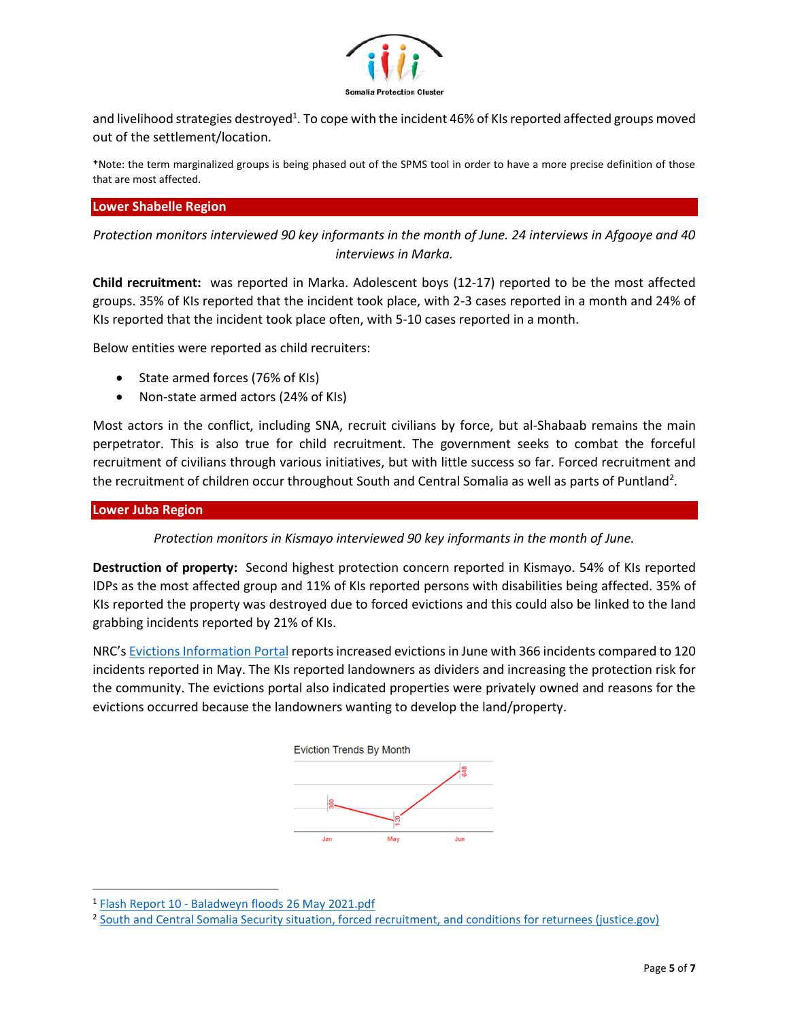

and livelihood strategies destroyed<sup>1</sup>. To cope with the incident 46% of KIs reported affected groups moved out of the settlement/location.

\*Note: the term marginalized groups is being phased out of the SPMS tool in order to have a more precise definition of those that are most affected.

## **Lower Shabelle Region**

*Protection monitors interviewed 90 key informants in the month of June. 24 interviews in Afgooye and 40 interviews in Marka.* 

**Child recruitment:** was reported in Marka. Adolescent boys (12-17) reported to be the most affected groups. 35% of KIs reported that the incident took place, with 2-3 cases reported in a month and 24% of KIs reported that the incident took place often, with 5-10 cases reported in a month.

Below entities were reported as child recruiters:

- State armed forces (76% of KIs)
- Non-state armed actors (24% of KIs)

Most actors in the conflict, including SNA, recruit civilians by force, but al-Shabaab remains the main perpetrator. This is also true for child recruitment. The government seeks to combat the forceful recruitment of civilians through various initiatives, but with little success so far. Forced recruitment and the recruitment of children occur throughout South and Central Somalia as well as parts of Puntland<sup>2</sup>.

### **Lower Juba Region**

*Protection monitors in Kismayo interviewed 90 key informants in the month of June.*

**Destruction of property:** Second highest protection concern reported in Kismayo. 54% of KIs reported IDPs as the most affected group and 11% of KIs reported persons with disabilities being affected. 35% of KIs reported the property was destroyed due to forced evictions and this could also be linked to the land grabbing incidents reported by 21% of KIs.

NRC's [Evictions Information Portal](https://evictions.nrcsystems.net/evictions.php) reports increased evictions in June with 366 incidents compared to 120 incidents reported in May. The KIs reported landowners as dividers and increasing the protection risk for the community. The evictions portal also indicated properties were privately owned and reasons for the evictions occurred because the landowners wanting to develop the land/property.



<sup>&</sup>lt;sup>1</sup> Flash Report 10 - [Baladweyn floods 26 May 2021.pdf](file:///C:/Users/salma/AppData/Local/Microsoft/Windows/INetCache/Content.Outlook/QNF6GSUK/Flash%20Report%2010%20-%20Baladweyn%20floods%2026%20May%202021.pdf)

<sup>&</sup>lt;sup>2</sup> [South and Central Somalia Security situation, forced recruitment, and conditions for returnees \(justice.gov\)](https://www.justice.gov/eoir/page/file/1309016/download)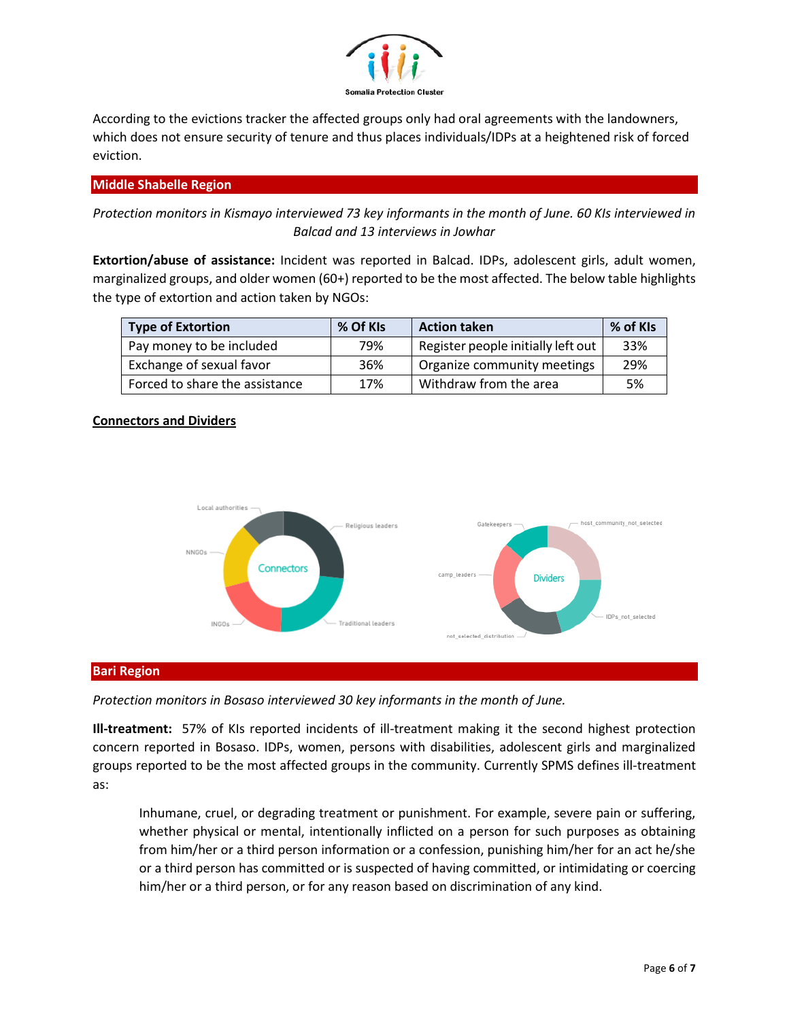

According to the evictions tracker the affected groups only had oral agreements with the landowners, which does not ensure security of tenure and thus places individuals/IDPs at a heightened risk of forced eviction.

## **Middle Shabelle Region**

*Protection monitors in Kismayo interviewed 73 key informants in the month of June. 60 KIs interviewed in Balcad and 13 interviews in Jowhar*

**Extortion/abuse of assistance:** Incident was reported in Balcad. IDPs, adolescent girls, adult women, marginalized groups, and older women (60+) reported to be the most affected. The below table highlights the type of extortion and action taken by NGOs:

| <b>Type of Extortion</b>       | % Of KIs | <b>Action taken</b>                | % of KIs |
|--------------------------------|----------|------------------------------------|----------|
| Pay money to be included       | 79%      | Register people initially left out | 33%      |
| Exchange of sexual favor       | 36%      | Organize community meetings        | 29%      |
| Forced to share the assistance | 17%      | Withdraw from the area             | .5%      |

### **Connectors and Dividers**



### **Bari Region**

### *Protection monitors in Bosaso interviewed 30 key informants in the month of June.*

**Ill-treatment:** 57% of KIs reported incidents of ill-treatment making it the second highest protection concern reported in Bosaso. IDPs, women, persons with disabilities, adolescent girls and marginalized groups reported to be the most affected groups in the community. Currently SPMS defines ill-treatment as:

Inhumane, cruel, or degrading treatment or punishment. For example, severe pain or suffering, whether physical or mental, intentionally inflicted on a person for such purposes as obtaining from him/her or a third person information or a confession, punishing him/her for an act he/she or a third person has committed or is suspected of having committed, or intimidating or coercing him/her or a third person, or for any reason based on discrimination of any kind.